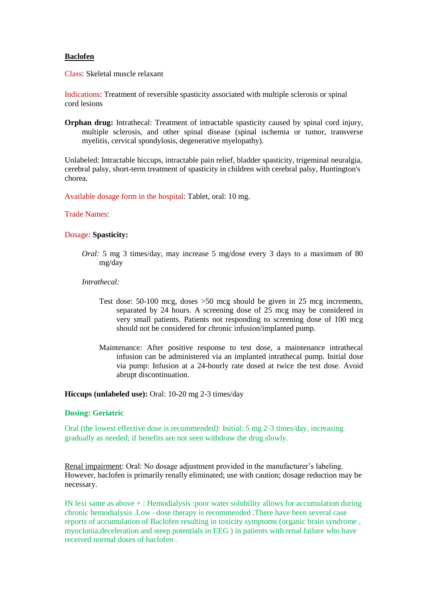# **Baclofen**

Class: Skeletal muscle relaxant

Indications: Treatment of reversible spasticity associated with multiple sclerosis or spinal cord lesions

**Orphan drug:** Intrathecal: Treatment of intractable spasticity caused by spinal cord injury, multiple sclerosis, and other spinal disease (spinal ischemia or tumor, transverse myelitis, cervical spondylosis, degenerative myelopathy).

Unlabeled: Intractable hiccups, intractable pain relief, bladder spasticity, trigeminal neuralgia, cerebral palsy, short-term treatment of spasticity in children with cerebral palsy, Huntington's chorea.

Available dosage form in the hospital: Tablet, oral: 10 mg.

#### Trade Names:

# Dosage: **Spasticity:**

*Oral:* 5 mg 3 times/day, may increase 5 mg/dose every 3 days to a maximum of 80 mg/day

### *Intrathecal:*

- Test dose: 50-100 mcg, doses >50 mcg should be given in 25 mcg increments, separated by 24 hours. A screening dose of 25 mcg may be considered in very small patients. Patients not responding to screening dose of 100 mcg should not be considered for chronic infusion/implanted pump.
- Maintenance: After positive response to test dose, a maintenance intrathecal infusion can be administered via an implanted intrathecal pump. Initial dose via pump: Infusion at a 24-hourly rate dosed at twice the test dose. Avoid abrupt discontinuation.

**Hiccups (unlabeled use):** Oral: 10-20 mg 2-3 times/day

### **Dosing: Geriatric**

Oral (the lowest effective dose is recommended): Initial: 5 mg 2-3 times/day, increasing gradually as needed; if benefits are not seen withdraw the drug slowly.

Renal impairment: Oral: No dosage adjustment provided in the manufacturer's labeling. However, baclofen is primarily renally eliminated; use with caution; dosage reduction may be necessary.

IN lexi same as above + : Hemodialysis :poor water solubility allows for accumulation during chronic hemodialysis .Low –dose therapy is recommended .There have been several case reports of accumulation of Baclofen resulting in toxicity symptoms (organic brain syndrome , myoclonia,deceleration and steep potentials in EEG ) in patients with renal failure who have received normal doses of baclofen .